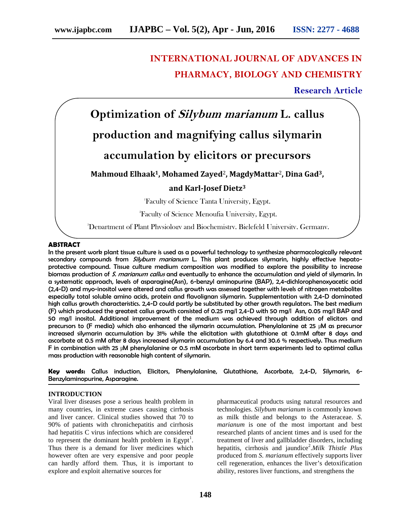# **INTERNATIONAL JOURNAL OF ADVANCES IN PHARMACY, BIOLOGY AND CHEMISTRY**

## **Research Article**



### **ABSTRACT**

In the present work plant tissue culture is used as a powerful technology to synthesize pharmacologically relevant secondary compounds from *Silybum marianum* L. This plant produces silymarin, highly effective hepato protective compound. Tissue culture medium composition was modified to explore the possibility to increase biomass production of *S. marianum callus* and eventually to enhance the accumulation and yield of silymarin. In a systematic approach, levels of asparagine(Asn), 6-benzyl aminopurine (BAP), 2,4-dichlorophenoxyacetic acid (2,4-D) and myo-inositol were altered and callus growth was assessed together with levels of nitrogen metabolites especially total soluble amino acids, protein and flavolignan silymarin. Supplementation with 2,4-D dominated high callus growth characteristics. 2,4-D could partly be substituted by other growth regulators. The best medium (F) which produced the greatest callus growth consisted of 0.25 mg/l 2,4-D with 50 mg/l Asn, 0.05 mg/l BAP and 50 mg/l inositol. Additional improvement of the medium was achieved through addition of elicitors and precursors to (F media) which also enhanced the silymarin accumulation. Phenylalanine at 25 µM as precursor increased silymarin accumulation by 31% while the elicitation with glutathione at 0.1mM after 8 days and ascorbate at 0.5 mM after 8 days increased silymarin accumulation by 6.4 and 30.6 % respectively. Thus medium F in combination with 25 µM phenylalanine or 0.5 mM ascorbate in short term experiments led to optimal callus mass production with reasonable high content of silymarin.

**Key words:** Callus induction, Elicitors, Phenylalanine, Glutathione, Ascorbate, 2,4-D, Silymarin, 6- Benzylaminopurine, Asparagine.

#### **INTRODUCTION**

Viral liver diseases pose a serious health problem in many countries, in extreme cases causing cirrhosis and liver cancer. Clinical studies showed that 70 to 90% of patients with chronichepatitis and cirrhosis had hepatitis C virus infections which are considered to represent the dominant health problem in  $Egypt<sup>1</sup>$ . Thus there is a demand for liver medicines which however often are very expensive and poor people can hardly afford them. Thus, it is important to explore and exploit alternative sources for

pharmaceutical products using natural resources and technologies. *Silybum marianum* is commonly known as milk thistle and belongs to the Asteraceae. *S. marianum* is one of the most important and best researched plants of ancient times and is used for the treatment of liver and gallbladder disorders, including hepatitis, cirrhosis and jaundice<sup>2</sup> .*Milk Thistle Plus* produced from *S. marianum* effectively supports liver cell regeneration, enhances the liver's detoxification ability, restores liver functions, and strengthens the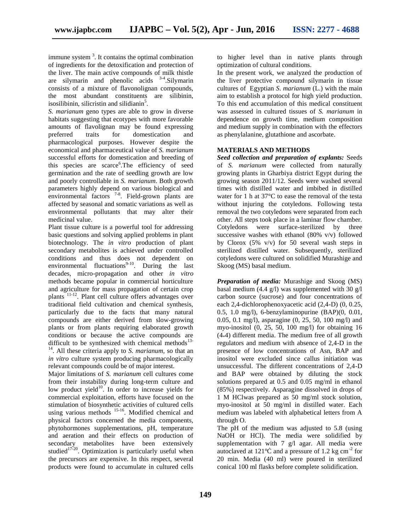immune system <sup>3</sup>. It contains the optimal combination of ingredients for the detoxification and protection of the liver. The main active compounds of milk thistle are silymarin and phenolic acids 3-4 .Silymarin consists of a mixture of flavonolignan compounds, the most abundant constituents are silibinin, isosilibinin, silicristin and silidianin<sup>5</sup>.

*S. marianum* geno types are able to grow in diverse habitats suggesting that ecotypes with more favorable amounts of flavolignan may be found expressing preferred traits for domestication and pharmacological purposes. However despite the economical and pharmaceutical value of *S. marianum* successful efforts for domestication and breeding of this species are scarce<sup>6</sup>. The efficiency of seed germination and the rate of seedling growth are low and poorly controllable in *S. marianum*. Both growth parameters highly depend on various biological and environmental factors <sup>7-8</sup>. Field-grown plants are affected by seasonal and somatic variations as well as environmental pollutants that may alter their medicinal value.

Plant tissue culture is a powerful tool for addressing basic questions and solving applied problems in plant biotechnology. The *in vitro* production of plant secondary metabolites is achieved under controlled conditions and thus does not dependent on environmental fluctuations<sup>9-10</sup>. During the last decades, micro-propagation and other *in vitro* methods became popular in commercial horticulture and agriculture for mass propagation of certain crop plants 11-12. Plant cell culture offers advantages over traditional field cultivation and chemical synthesis, particularly due to the facts that many natural compounds are either derived from slow-growing plants or from plants requiring elaborated growth conditions or because the active compounds are difficult to be synthesized with chemical methods<sup>13-1</sup>  $\frac{14}{14}$ . All these criteria apply to *S. marianum*, so that an *in vitro* culture system producing pharmacologically relevant compounds could be of major interest.

Major limitations of *S. marianum* cell cultures come from their instability during long-term culture and low product yield $10<sup>10</sup>$ . In order to increase yields for commercial exploitation, efforts have focused on the stimulation of biosynthetic activities of cultured cells using various methods <sup>15-16</sup>. Modified chemical and physical factors concerned the media components, phytohormones supplementations, pH, temperature and aeration and their effects on production of secondary metabolites have been extensively studied<sup>17-20</sup>. Optimization is particularly useful when the precursors are expensive. In this respect, several products were found to accumulate in cultured cells

to higher level than in native plants through optimization of cultural conditions.

In the present work, we analyzed the production of the liver protective compound silymarin in tissue cultures of Egyptian *S*. *marianum* (L.) with the main aim to establish a protocol for high yield production. To this end accumulation of this medical constituent was assessed in cultured tissues of *S. marianum* in dependence on growth time, medium composition and medium supply in combination with the effectors as phenylalanine, glutathione and ascorbate.

## **MATERIALS AND METHODS**

*Seed collection and preparation of explants:* Seeds of *S. marianum* were collected from naturally growing plants in Gharbiya district Egypt during the growing season 2011/12. Seeds were washed several times with distilled water and imbibed in distilled water for 1 h at 37°C to ease the removal of the testa without injuring the cotyledons. Following testa removal the two cotyledons were separated from each other. All steps took place in a laminar flow chamber. Cotyledons were surface-sterilized by three successive washes with ethanol (80% v/v) followed by Clorox  $(5\% \text{ v/v})$  for 50 several wash steps in sterilized distilled water. Subsequently, sterilized cotyledons were cultured on solidified Murashige and Skoog (MS) basal medium.

*Preparation of media:* Murashige and Skoog (MS) basal medium (4.4 g/l) was supplemented with 30 g/l carbon source (sucrose) and four concentrations of each 2,4-dichlorophenoxyacetic acid (2,4-D) (0, 0.25, 0.5, 1.0 mg/l), 6-benzylaminopurine (BAP)(0, 0.01, 0.05, 0.1 mg/l), asparagine (0, 25, 50, 100 mg/l) and myo-inositol  $(0, 25, 50, 100 \text{ mg/l})$  for obtaining 16  $(4*4)$  different media. The medium free of all growth regulators and medium with absence of 2,4-D in the presence of low concentrations of Asn, BAP and inositol were excluded since callus initiation was unsuccessful. The different concentrations of 2,4-D and BAP were obtained by diluting the stock solutions prepared at 0.5 and 0.05 mg/ml in ethanol (85%) respectively. Asparagine dissolved in drops of 1 M HClwas prepared as 50 mg/ml stock solution, myo-inositol at 50 mg/ml in distilled water. Each medium was labeled with alphabetical letters from A through O.

The pH of the medium was adjusted to 5.8 (using NaOH or HCl). The media were solidified by supplementation with  $7 \text{ g/l}$  agar. All media were autoclaved at  $121^\circ$  and a pressure of 1.2 kg cm<sup>-2</sup> for 20 min. Media (40 ml) were poured in sterilized conical 100 ml flasks before complete solidification.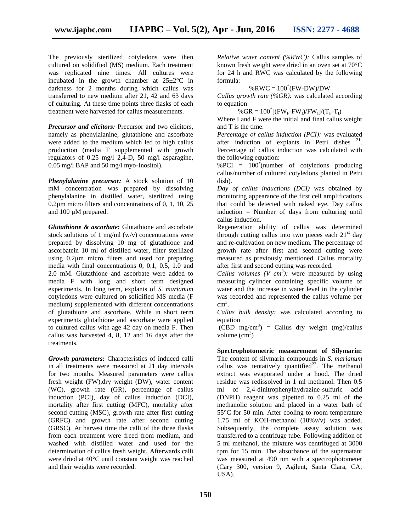The previously sterilized cotyledons were then cultured on solidified (MS) medium. Each treatment was replicated nine times. All cultures were incubated in the growth chamber at  $25 \pm 2^{\circ}$ C in darkness for 2 months during which callus was transferred to new medium after 21, 42 and 63 days of culturing. At these time points three flasks of each treatment were harvested for callus measurements.

*Precursor and elicitors:* Precursor and two elicitors, namely as phenylalanine, glutathione and ascorbate were added to the medium which led to high callus production (media F supplemented with growth regulators of 0.25 mg/l 2,4-D, 50 mg/l asparagine, 0.05 mg/l BAP and 50 mg/l myo-Inositol).

*Phenylalanine precursor:* A stock solution of 10 mM concentration was prepared by dissolving phenylalanine in distilled water, sterilized using 0.2μm micro filters and concentrations of 0, 1, 10, 25 and 100 µM prepared.

*Glutathione & ascorbate:* Glutathione and ascorbate stock solutions of 1 mg/ml (w/v) concentrations were prepared by dissolving 10 mg of glutathione and ascorbatein 10 ml of distilled water, filter sterilized using 0.2μm micro filters and used for preparing media with final concentrations 0, 0.1, 0.5, 1.0 and 2.0 mM. Glutathione and ascorbate were added to media F with long and short term designed experiments. In long term, explants of *S. marianum* cotyledons were cultured on solidified MS media (F medium) supplemented with different concentrations of glutathione and ascorbate. While in short term experiments glutathione and ascorbate were applied to cultured callus with age 42 day on media F. Then callus was harvested 4, 8, 12 and 16 days after the treatments.

*Growth parameters:* Characteristics of induced calli in all treatments were measured at 21 day intervals for two months. Measured parameters were callus fresh weight (FW),dry weight (DW), water content (WC), growth rate (GR), percentage of callus induction (PCI), day of callus induction (DCI), mortality after first cutting (MFC), mortality after second cutting (MSC), growth rate after first cutting (GRFC) and growth rate after second cutting (GRSC). At harvest time the calli of the three flasks from each treatment were freed from medium, and washed with distilled water and used for the determination of callus fresh weight. Afterwards calli were dried at 40°C until constant weight was reached and their weights were recorded.

*Relative water content (%RWC):* Callus samples of known fresh weight were dried in an oven set at 70°C for 24 h and RWC was calculated by the following formula:

## $%RWC = 100*(FW-DW)/DW$

*Callus growth rate (%GR):* was calculated according to equation

 $%$  GR = 100<sup>\*</sup>[(FW<sub>F</sub>-FW<sub>I</sub>)/FW<sub>I</sub>]/(T<sub>F</sub>-T<sub>I</sub>)

Where I and F were the initial and final callus weight and T is the time.

*Percentage of callus induction (PCI):* was evaluated after induction of explants in Petri dishes  $21$ . Percentage of callus induction was calculated with the following equation:

 $%PCI = 100^{\circ}$ (number of cotyledons producing callus/number of cultured cotyledons planted in Petri dish).

*Day of callus inductions (DCI)* was obtained by monitoring appearance of the first cell amplifications that could be detected with naked eye. Day callus induction = Number of days from culturing until callus induction.

Regeneration ability of callus was determined through cutting callus into two pieces each  $21<sup>st</sup>$  day and re-cultivation on new medium. The percentage of growth rate after first and second cutting were measured as previously mentioned. Callus mortality after first and second cutting was recorded.

*Callus volumes (V cm<sup>3</sup>):* were measured by using measuring cylinder containing specific volume of water and the increase in water level in the cylinder was recorded and represented the callus volume per  $\text{cm}^3$ .

*Callus bulk density:* was calculated according to equation

 $(CBD \, mg/cm^3)$  = Callus dry weight (mg)/callus volume  $(cm<sup>3</sup>)$ 

**Spectrophotometric measurement of Silymarin:** The content of silymarin compounds in *S. marianum* callus was tentatively quantified<sup>22</sup>. The methanol extract was evaporated under a hood. The dried residue was redissolved in 1 ml methanol. Then 0.5 ml of 2,4-dinitrophenylhydrazine-sulfuric acid (DNPH) reagent was pipetted to 0.25 ml of the methanolic solution and placed in a water bath of 55°C for 50 min. After cooling to room temperature 1.75 ml of KOH-methanol (10%v/v) was added. Subsequently, the complete assay solution was transferred to a centrifuge tube. Following addition of 5 ml methanol, the mixture was centrifuged at 3000 rpm for 15 min. The absorbance of the supernatant was measured at 490 nm with a spectrophotometer (Cary 300, version 9, Agilent, Santa Clara, CA, USA).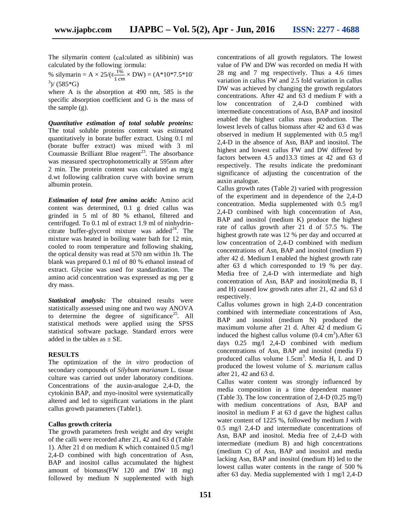The silymarin content (calculated as silibinin) was calculated by the following formula:

% silymarin = A  $\times$  25/( $\frac{1\%}{1\%}$   $\times$  DW) = (A\*10\*7.5\*10<sup>-6</sup>  $3$ / (585\*G)

where A is the absorption at 490 nm, 585 is the specific absorption coefficient and G is the mass of the sample (g).

*Quantitative estimation of total soluble proteins:* The total soluble proteins content was estimated quantitatively in borate buffer extract. Using 0.1 ml (borate buffer extract) was mixed with 3 ml Coumassie Brilliant Blue reagent<sup>23</sup>. The absorbance was measured spectrophotometrically at 595nm after 2 min. The protein content was calculated as mg/g d.wt following calibration curve with bovine serum albumin protein.

*Estimation of total free amino acids:* Amino acid content was determined, 0.1 g dried callus was grinded in 5 ml of 80 % ethanol, filtered and centrifuged. To 0.1 ml of extract 1.9 ml of ninhydrin citrate buffer-glycerol mixture was added $^{24}$ . The mixture was heated in boiling water bath for 12 min, cooled to room temperature and following shaking, the optical density was read at 570 nm within 1h. The blank was prepared 0.1 ml of 80 % ethanol instead of extract. Glycine was used for standardization. The amino acid concentration was expressed as mg per g dry mass.

*Statistical analysis:* The obtained results were statistically assessed using one and two way ANOVA to determine the degree of significance<sup>25</sup>. All statistical methods were applied using the SPSS statistical software package. Standard errors were added in the tables as  $\pm$  SE.

## **RESULTS**

The optimization of the *in vitro* production of secondary compounds of *Silybum marianum* L. tissue culture was carried out under laboratory conditions. Concentrations of the auxin-analogue 2,4-D, the cytokinin BAP, and myo-inositol were systematically altered and led to significant variations in the plant callus growth parameters (Table1).

#### **Callus growth criteria**

The growth parameters fresh weight and dry weight of the calli were recorded after 21, 42 and 63 d (Table 1). After 21 d on medium K which contained 0.5 mg/l 2,4-D combined with high concentration of Asn, BAP and inositol callus accumulated the highest amount of biomass(FW 120 and DW 18 mg) followed by medium N supplemented with high concentrations of all growth regulators. The lowest value of FW and DW was recorded on media H with 28 mg and 7 mg respectively. Thus a 4.6 times variation in callus FW and 2.5 fold variation in callus DW was achieved by changing the growth regulators concentrations. After 42 and 63 d medium F with a low concentration of 2,4-D combined with intermediate concentrations of Asn, BAP and inositol enabled the highest callus mass production. The lowest levels of callus biomass after 42 and 63 d was observed in medium H supplemented with 0.5 mg/l 2,4-D in the absence of Asn, BAP and inositol. The highest and lowest callus FW and DW differed by factors between 4.5 and13.3 times at 42 and 63 d respectively. The results indicate the predominant significance of adjusting the concentration of the auxin analogue.

Callus growth rates (Table 2) varied with progression of the experiment and in dependence of the 2,4-D concentration. Media supplemented with 0.5 mg/l 2,4-D combined with high concentration of Asn, BAP and inositol (medium K) produce the highest rate of callus growth after 21 d of 57.5 %. The highest growth rate was 12 % per day and occurred at low concentration of 2,4-D combined with medium concentrations of Asn, BAP and inositol (medium F) after 42 d. Medium I enabled the highest growth rate after 63 d which corresponded to 19 % per day. Media free of 2,4-D with intermediate and high concentration of Asn, BAP and inositol(media B, I and H) caused low growth rates after 21, 42 and 63 d respectively.

Callus volumes grown in high 2,4-D concentration combined with intermediate concentrations of Asn, BAP and inositol (medium N) produced the maximum volume after 21 d. After 42 d medium G induced the highest callus volume  $(0.4 \text{ cm}^3)$ . After 63 days 0.25 mg/l 2,4-D combined with medium concentrations of Asn, BAP and inositol (media F) produced callus volume 1.5cm<sup>3</sup>. Media H, L and D produced the lowest volume of *S. marianum* callus after 21, 42 and 63 d.

Callus water content was strongly influenced by media composition in a time dependent manner (Table 3). The low concentration of 2,4-D (0.25 mg/l) with medium concentrations of Asn, BAP and inositol in medium F at 63 d gave the highest callus water content of 1225 %, followed by medium J with 0.5 mg/l 2,4-D and intermediate concentrations of Asn, BAP and inositol. Media free of 2,4-D with intermediate (medium B) and high concentrations (medium C) of Asn, BAP and inositol and media lacking Asn, BAP and inositol (medium H) led to the lowest callus water contents in the range of 500 % after 63 day. Media supplemented with 1 mg/l 2,4-D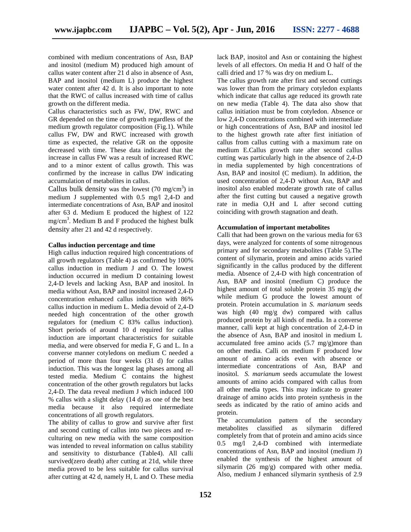combined with medium concentrations of Asn, BAP and inositol (medium M) produced high amount of callus water content after 21 d also in absence of Asn, BAP and inositol (medium L) produce the highest water content after 42 d. It is also important to note that the RWC of callus increased with time of callus growth on the different media.

Callus characteristics such as FW, DW, RWC and GR depended on the time of growth regardless of the medium growth regulator composition (Fig.1). While callus FW, DW and RWC increased with growth time as expected, the relative GR on the opposite decreased with time. These data indicated that the increase in callus FW was a result of increased RWC and to a minor extent of callus growth. This was confirmed by the increase in callus DW indicating accumulation of metabolites in callus.

Callus bulk density was the lowest  $(70 \text{ mg/cm}^3)$  in medium J supplemented with 0.5 mg/l 2,4-D and intermediate concentrations of Asn, BAP and inositol after 63 d. Medium E produced the highest of 122 mg/cm<sup>3</sup>. Medium B and F produced the highest bulk density after 21 and 42 d respectively.

### **Callus induction percentage and time**

High callus induction required high concentrations of all growth regulators (Table 4) as confirmed by 100% callus induction in medium J and O. The lowest induction occurred in medium D containing lowest 2,4-D levels and lacking Asn, BAP and inositol. In media without Asn, BAP and inositol increased 2,4-D concentration enhanced callus induction with 86% callus induction in medium L. Media devoid of 2,4-D needed high concentration of the other growth regulators for (medium C 83% callus induction). Short periods of around 10 d required for callus induction are important characteristics for suitable media, and were observed for media F, G and L. In a converse manner cotyledons on medium C needed a period of more than four weeks (31 d) for callus induction. This was the longest lag phases among all tested media. Medium C contains the highest concentration of the other growth regulators but lacks 2,4-D. The data reveal medium J which induced 100 % callus with a slight delay (14 d) as one of the best media because it also required intermediate concentrations of all growth regulators.

The ability of callus to grow and survive after first and second cutting of callus into two pieces and re culturing on new media with the same composition was intended to reveal information on callus stability and sensitivity to disturbance (Table4). All calli survived(zero death) after cutting at 21d, while three media proved to be less suitable for callus survival after cutting at 42 d, namely H, L and O. These media lack BAP, inositol and Asn or containing the highest levels of all effectors. On media H and O half of the calli dried and 17 % was dry on medium L.

The callus growth rate after first and second cuttings was lower than from the primary cotyledon explants which indicate that callus age reduced its growth rate on new media (Table 4). The data also show that callus initiation must be from cotyledon. Absence or low 2,4-D concentrations combined with intermediate or high concentrations of Asn, BAP and inositol led to the highest growth rate after first initiation of callus from callus cutting with a maximum rate on medium E.Callus growth rate after second callus cutting was particularly high in the absence of 2,4-D in media supplemented by high concentrations of Asn, BAP and inositol (C medium). In addition, the used concentration of 2,4-D without Asn, BAP and inositol also enabled moderate growth rate of callus after the first cutting but caused a negative growth rate in media O,H and L after second cutting coinciding with growth stagnation and death.

## **Accumulation of important metabolites**

Calli that had been grown on the various media for 63 days, were analyzed for contents of some nitrogenous primary and for secondary metabolites (Table 5).The content of silymarin, protein and amino acids varied significantly in the callus produced by the different media. Absence of 2,4-D with high concentration of Asn, BAP and inositol (medium C) produce the highest amount of total soluble protein 35 mg/g dw while medium G produce the lowest amount of protein. Protein accumulation in *S. marianum* seeds was high (40 mg/g dw) compared with callus produced protein by all kinds of media. In a converse manner, calli kept at high concentration of 2,4-D in the absence of Asn, BAP and inositol in medium L accumulated free amino acids (5.7 mg/g)more than on other media. Calli on medium F produced low amount of amino acids even with absence or intermediate concentrations of Asn, BAP and inositol. *S. marianum* seeds accumulate the lowest amounts of amino acids compared with callus from all other media types. This may indicate to greater drainage of amino acids into protein synthesis in the seeds as indicated by the ratio of amino acids and protein.

The accumulation pattern of the secondary metabolites classified as silymarin differed completely from that of protein and amino acids since 0.5 mg/l 2,4-D combined with intermediate concentrations of Asn, BAP and inositol (medium J) enabled the synthesis of the highest amount of silymarin (26 mg/g) compared with other media. Also, medium J enhanced silymarin synthesis of 2.9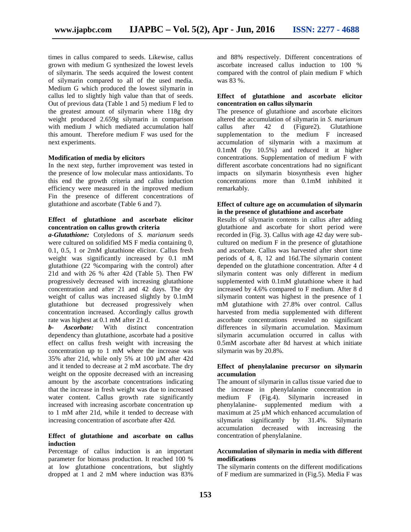times in callus compared to seeds. Likewise, callus grown with medium G synthesized the lowest levels of silymarin. The seeds acquired the lowest content of silymarin compared to all of the used media. Medium G which produced the lowest silymarin in callus led to slightly high value than that of seeds. Out of previous data (Table 1 and 5) medium F led to the greatest amount of silymarin where 118g dry weight produced 2.659g silymarin in comparison with medium J which mediated accumulation half this amount. Therefore medium F was used for the next experiments.

### **Modification of media by elicitors**

In the next step, further improvement was tested in the presence of low molecular mass antioxidants. To this end the growth criteria and callus induction efficiency were measured in the improved medium Fin the presence of different concentrations of glutathione and ascorbate (Table 6 and 7).

## **Effect of glutathione and ascorbate elicitor concentration on callus growth criteria**

*a-Glutathione:* Cotyledons of *S. marianum* seeds were cultured on solidified MS F media containing 0, 0.1, 0.5, 1 or 2mM glutathione elicitor. Callus fresh weight was significantly increased by 0.1 mM glutathione (22 %comparing with the control) after 21d and with 26 % after 42d (Table 5). Then FW progressively decreased with increasing glutathione concentration and after 21 and 42 days. The dry weight of callus was increased slightly by 0.1mM glutathione but decreased progressively when concentration increased. Accordingly callus growth rate was highest at 0.1 mM after 21 d.<br> **b**- **Ascorbate:** With distinct

*b- Ascorbate:* With distinct concentration dependency than glutathione, ascorbate had a positive effect on callus fresh weight with increasing the concentration up to 1 mM where the increase was 35% after 21d, while only 5% at 100 µM after 42d and it tended to decrease at 2 mM ascorbate. The dry weight on the opposite decreased with an increasing amount by the ascorbate concentrations indicating that the increase in fresh weight was due to increased water content. Callus growth rate significantly increased with increasing ascorbate concentration up to 1 mM after 21d, while it tended to decrease with increasing concentration of ascorbate after 42d.

## **Effect of glutathione and ascorbate on callus induction**

Percentage of callus induction is an important parameter for biomass production. It reached 100 % at low glutathione concentrations, but slightly dropped at 1 and 2 mM where induction was 83%

and 88% respectively. Different concentrations of ascorbate increased callus induction to 100 % compared with the control of plain medium F which was 83 %.

## **Effect of glutathione and ascorbate elicitor concentration on callus silymarin**

The presence of glutathione and ascorbate elicitors altered the accumulation of silymarin in *S. marianum* callus after 42 d (Figure2). Glutathione supplementation to the medium F increased accumulation of silymarin with a maximum at 0.1mM (by 10.5%) and reduced it at higher concentrations. Supplementation of medium F with different ascorbate concentrations had no significant impacts on silymarin biosynthesis even higher concentrations more than 0.1mM inhibited it remarkably.

### **Effect of culture age on accumulation of silymarin in the presence of glutathione and ascorbate**

Results of silymarin contents in callus after adding glutathione and ascorbate for short period were recorded in (Fig. 3). Callus with age 42 day were sub cultured on medium F in the presence of glutathione and ascorbate. Callus was harvested after short time periods of 4, 8, 12 and 16d.The silymarin content depended on the glutathione concentration. After 4 d silymarin content was only different in medium supplemented with 0.1mM glutathione where it had increased by 4.6% compared to F medium. After 8 d silymarin content was highest in the presence of 1 mM glutathione with 27.8% over control. Callus harvested from media supplemented with different ascorbate concentrations revealed no significant differences in silymarin accumulation. Maximum silymarin accumulation occurred in callus with 0.5mM ascorbate after 8d harvest at which initiate silymarin was by 20.8%.

### **Effect of phenylalanine precursor on silymarin accumulation**

The amount of silymarin in callus tissue varied due to the increase in phenylalanine concentration in medium F (Fig.4). Silymarin increased in phenylalanine- supplemented medium with a maximum at 25  $\mu$ M which enhanced accumulation of silymarin significantly by 31.4%. Silymarin accumulation decreased with increasing the concentration of phenylalanine.

## **Accumulation of silymarin in media with different modifications**

The silymarin contents on the different modifications of F medium are summarized in (Fig.5). Media F was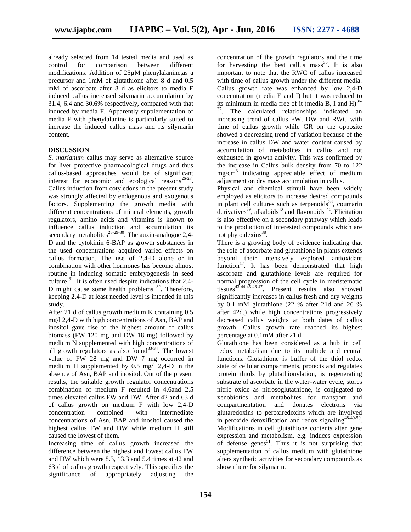already selected from 14 tested media and used as control for comparison between different modifications. Addition of 25µM phenylalanine,as a precursor and 1mM of glutathione after 8 d and 0.5 mM of ascorbate after 8 d as elicitors to media F induced callus increased silymarin accumulation by 31.4, 6.4 and 30.6% respectively, compared with that induced by media F. Apparently supplementation of media F with phenylalanine is particularly suited to increase the induced callus mass and its silymarin content.

## **DISCUSSION**

*S. marianum* callus may serve as alternative source for liver protective pharmacological drugs and thus callus-based approaches would be of significant interest for economic and ecological reasons $26-27$ . Callus induction from cotyledons in the present study was strongly affected by endogenous and exogenous factors. Supplementing the growth media with different concentrations of mineral elements, growth regulators, amino acids and vitamins is known to influence callus induction and accumulation its secondary metabolites<sup> $28-29-30$ </sup>. The auxin-analogue 2,4-D and the cytokinin 6-BAP as growth substances in the used concentrations acquired varied effects on callus formation. The use of 2,4-D alone or in combination with other hormones has become almost routine in inducing somatic embryogenesis in seed culture  $31$ . It is often used despite indications that 2,4-D might cause some health problems  $32$ . Therefore, keeping 2,4-D at least needed level is intended in this study.

After 21 d of callus growth medium K containing 0.5 mg/l 2,4-D with high concentrations of Asn, BAP and inositol gave rise to the highest amount of callus biomass (FW 120 mg and DW 18 mg) followed by medium N supplemented with high concentrations of all growth regulators as also found<sup>33-34</sup>. The lowest value of FW 28 mg and DW 7 mg occurred in medium H supplemented by 0.5 mg/l 2,4-D in the absence of Asn, BAP and inositol. Out of the present results, the suitable growth regulator concentrations combination of medium F resulted in 4.6and 2.5 times elevated callus FW and DW. After 42 and 63 d of callus growth on medium F with low 2,4-D<br>concentration combined with intermediate concentration combined with concentrations of Asn, BAP and inositol caused the highest callus FW and DW while medium H still caused the lowest of them.

Increasing time of callus growth increased the difference between the highest and lowest callus FW and DW which were 8.3, 13.3 and 5.4 times at 42 and 63 d of callus growth respectively. This specifies the significance of appropriately adjusting the

concentration of the growth regulators and the time for harvesting the best callus mass  $35$ . It is also important to note that the RWC of callus increased with time of callus growth under the different media. Callus growth rate was enhanced by low 2,4-D concentration (media F and I) but it was reduced to its minimum in media free of it (media B, I and H) $^{36-}$  $37$ . The calculated relationships indicated an increasing trend of callus FW, DW and RWC with time of callus growth while GR on the opposite showed a decreasing trend of variation because of the increase in callus DW and water content caused by accumulation of metabolites in callus and not exhausted in growth activity. This was confirmed by the increase in Callus bulk density from 70 to 122 mg/cm<sup>3</sup> indicating appreciable effect of medium adjustment on dry mass accumulation in callus.

Physical and chemical stimuli have been widely employed as elicitors to increase desired compounds in plant cell cultures such as terpenoids $38$ , coumarin derivatives<sup>39</sup>, alkaloids<sup>40</sup> and flavonoids<sup>41</sup>. Elicitation is also effective on a secondary pathway which leads to the production of interested compounds which are not phytoalexins<sup>38</sup>.

There is a growing body of evidence indicating that the role of ascorbate and glutathione in plants extends beyond their intensively explored antioxidant function<sup>42</sup>. It has been demonstrated that high ascorbate and glutathione levels are required for normal progression of the cell cycle in meristematic tissues<sup>43-44-45-46-47</sup>. Present results also showed significantly increases in callus fresh and dry weights by 0.1 mM glutathione (22 % after 21d and 26 % after 42d.) while high concentrations progressively decreased callus weights at both dates of callus growth. Callus growth rate reached its highest percentage at 0.1mM after 21 d.

Glutathione has been considered as a hub in cell redox metabolism due to its multiple and central functions. Glutathione is buffer of the thiol redox state of cellular compartments, protects and regulates protein thiols by glutathionylation, is regenerating substrate of ascorbate in the water-water cycle, stores nitric oxide as nitrosoglutathione, is conjugated to xenobiotics and metabolites for transport and compartmentation and donates electrons via glutaredoxins to peroxiredoxins which are involved in peroxide detoxification and redox signaling<sup>48-49-50</sup>. Modifications in cell glutathione contents alter gene expression and metabolism, e.g. induces expression of defense genes<sup>51</sup>. Thus it is not surprising that supplementation of callus medium with glutathione alters synthetic activities for secondary compounds as shown here for silymarin.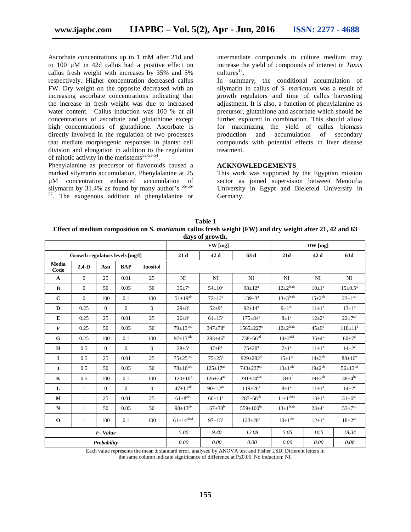Ascorbate concentrations up to 1 mM after 21d and to 100 µM in 42d callus had a positive effect on callus fresh weight with increases by 35% and 5% respectively. Higher concentration decreased callus FW. Dry weight on the opposite decreased with an increasing ascorbate concentrations indicating that the increase in fresh weight was due to increased water content. Callus induction was 100 % at all concentrations of ascorbate and glutathione except high concentrations of glutathione. Ascorbate is directly involved in the regulation of two processes that mediate morphogenic responses in plants: cell division and elongation in addition to the regulation of mitotic activity in the meristems<sup>52-53-54</sup>.

Phenylalanine as precursor of flavonoids caused a marked silymarin accumulation. Phenylalanine at 25 µM concentration enhanced accumulation of silymarin by 31.4% as found by many author's  $55-56-57$ . The exogenous addition of phenylalanine or

intermediate compounds to culture medium may increase the yield of compounds of interest in *Taxus*  $cutures<sup>17</sup>$ .

In summary, the conditional accumulation of silymarin in callus of *S. marianum* was a result of growth regulators and time of callus harvesting adjustment. It is also, a function of phenylalanine as precursor, glutathione and ascorbate which should be further explored in combination. This should allow for maximizing the yield of callus biomass production and accumulation of secondary compounds with potential effects in liver disease treatment.

#### **ACKNOWLEDGEMENTS**

This work was supported by the Egyptian mission sector as joined supervision between Menoufia University in Egypt and Bielefeld University in Germany.

**Table 1 Effect of medium composition on** *S. marianum* **callus fresh weight (FW) and dry weight after 21, 42 and 63 days of growth.**

|               |                                 |                |                |                 |                            | $\mathbf{u}$ , $\mathbf{v}$ , $\mathbf{v}$ , $\mathbf{v}$ , $\mathbf{v}$ , $\mathbf{v}$ , $\mathbf{v}$ , $\mathbf{v}$ , $\mathbf{v}$ , $\mathbf{v}$ , $\mathbf{v}$ , $\mathbf{v}$ , $\mathbf{v}$ , $\mathbf{v}$ , $\mathbf{v}$ , $\mathbf{v}$ , $\mathbf{v}$ , $\mathbf{v}$ , $\mathbf{v}$ , $\mathbf{v}$ , $\mathbf{v}$ , $\mathbf{v}$ , |                             |                            |                         |                         |  |
|---------------|---------------------------------|----------------|----------------|-----------------|----------------------------|-------------------------------------------------------------------------------------------------------------------------------------------------------------------------------------------------------------------------------------------------------------------------------------------------------------------------------------------|-----------------------------|----------------------------|-------------------------|-------------------------|--|
|               |                                 |                |                |                 | FW [mg]                    |                                                                                                                                                                                                                                                                                                                                           |                             | $DW$ [mg]                  |                         |                         |  |
|               | Growth regulators levels [mg/l] |                |                |                 | 21d                        | 42 d                                                                                                                                                                                                                                                                                                                                      | 63 d                        | 21d                        | 42 d                    | 63d                     |  |
| Media<br>Code | $2,4-D$                         | Asn            | <b>BAP</b>     | <b>Inositol</b> |                            |                                                                                                                                                                                                                                                                                                                                           |                             |                            |                         |                         |  |
| $\mathbf{A}$  | $\overline{0}$                  | 25             | 0.01           | 25              | NI                         | NI                                                                                                                                                                                                                                                                                                                                        | NI                          | NI                         | NI                      | NI                      |  |
| $\bf{B}$      | $\overline{0}$                  | 50             | 0.05           | 50              | $35 \pm 7^{\mathrm{a}}$    | $54 \pm 10^a$                                                                                                                                                                                                                                                                                                                             | $98 \pm 12^a$               | $12\pm2$ <sup>bcde</sup>   | $10\pm1^a$              | $15 \pm 0.5^{\text{a}}$ |  |
| $\mathbf C$   | $\theta$                        | 100            | 0.1            | 100             | $51 \pm 19^{ab}$           | $72 \pm 12^a$                                                                                                                                                                                                                                                                                                                             | $139 \pm 3^a$               | $13\pm3$ bcde              | $15 \pm 2^{ab}$         | $23\pm1^{ab}$           |  |
| D             | 0.25                            | $\overline{0}$ | $\mathbf{0}$   | $\overline{0}$  | $29 + 8^a$                 | $52 + 9^a$                                                                                                                                                                                                                                                                                                                                | $92 \pm 14^a$               | $9\pm1^{ab}$               | $11\pm1^a$              | $13 \pm 1^a$            |  |
| ${\bf E}$     | 0.25                            | 25             | 0.01           | 25              | $26 + 8^a$                 | $61 \pm 15^a$                                                                                                                                                                                                                                                                                                                             | $175 \pm 84^{\mathrm{a}}$   | $8\pm1^a$                  | $12 + 2^a$              | $22 + 7^{ab}$           |  |
| $\mathbf F$   | 0.25                            | 50             | 0.05           | 50              | $79 \pm 13^{bcd}$          | $347\pm78$ <sup>c</sup>                                                                                                                                                                                                                                                                                                                   | $1565 \pm 227$ <sup>e</sup> | $12\pm2$ <sup>bcde</sup>   | $45\pm9^{\rm d}$        | $118\pm11^{f}$          |  |
| G             | 0.25                            | 100            | 0.1            | 100             | $97 \pm 17^{\text{cde}}$   | $283 \pm 46^{\circ}$                                                                                                                                                                                                                                                                                                                      | $738 \pm 66$ <sup>cd</sup>  | $14\pm2$ <sup>def</sup>    | $35 \pm 4$ <sup>c</sup> | $60\pm7^{\rm d}$        |  |
| $\mathbf H$   | 0.5                             | $\overline{0}$ | $\overline{0}$ | $\mathbf{0}$    | $28 + 5^a$                 | $47 + 8^a$                                                                                                                                                                                                                                                                                                                                | $75 \pm 20^{\mathrm{a}}$    | $7\pm1^a$                  | $11\pm1^a$              | $14\pm2^{\mathrm{a}}$   |  |
| $\bf{I}$      | 0.5                             | 25             | 0.01           | 25              | $75 \pm 25$ <sup>bcd</sup> | $75 \pm 25^{\circ}$                                                                                                                                                                                                                                                                                                                       | $929 \pm 282^{\rm d}$       | $15 \pm 1$ <sup>ef</sup>   | $14\pm3^{ab}$           | $88\pm16^\circ$         |  |
| ${\bf J}$     | 0.5                             | 50             | 0.05           | 50              | $78 \pm 10^{bcd}$          | $125 \pm 17^{ab}$                                                                                                                                                                                                                                                                                                                         | $743 \pm 237$ <sup>cd</sup> | $13 \pm 1^{\text{cde}}$    | $19 + 2^{ab}$           | $56 \pm 13^{cd}$        |  |
| $\bf K$       | 0.5                             | 100            | 0.1            | 100             | $120 \pm 10^e$             | $126 \pm 24^{ab}$                                                                                                                                                                                                                                                                                                                         | $391 \pm 74$ <sup>abc</sup> | $18\pm1^{f}$               | $19\pm3^{ab}$           | $38\pm4^{bc}$           |  |
| L             | $\mathbf{1}$                    | $\overline{0}$ | $\overline{0}$ | $\mathbf{0}$    | $47 \pm 11^{ab}$           | $90 \pm 12^{ab}$                                                                                                                                                                                                                                                                                                                          | $119 \pm 26^a$              | $8\pm1^{\mathrm{a}}$       | $11\pm1^a$              | $14\pm2^{\mathrm{a}}$   |  |
| M             | $\mathbf{1}$                    | 25             | 0.01           | 25              | $61\pm8$ <sup>abc</sup>    | $66 \pm 11^a$                                                                                                                                                                                                                                                                                                                             | $287 \pm 68^{ab}$           | $11 \pm 1$ <sup>abcd</sup> | $13 \pm 1^a$            | $31\pm6^{ab}$           |  |
| ${\bf N}$     | $\mathbf{1}$                    | 50             | 0.05           | 50              | $98 \pm 13^{\text{de}}$    | $167 \pm 38^b$                                                                                                                                                                                                                                                                                                                            | $559 \pm 100^{bc}$          | $13\pm1$ <sup>bcde</sup>   | $23 \pm 4^b$            | $53 \pm 7^{cd}$         |  |
| $\bf{0}$      | $\mathbf{1}$                    | 100            | 0.1            | 100             | $61\pm14$ <sup>abcd</sup>  | $97 \pm 15^{\text{a}}$                                                                                                                                                                                                                                                                                                                    | $123 \pm 20^{\rm a}$        | $10\pm1$ <sup>abc</sup>    | $12 \pm 1^a$            | $18 + 2^{ab}$           |  |
|               |                                 | F-Value        |                |                 | 5.00                       | 9.40                                                                                                                                                                                                                                                                                                                                      | 12.08                       | 5.05                       | 10.5                    | 18.34                   |  |
| Probability   |                                 |                |                |                 | 0.00                       | 0.00                                                                                                                                                                                                                                                                                                                                      | 0.00                        | 0.00                       | $0.00\,$                | 0.00                    |  |

Each value represents the mean ± standard error, analysed by ANOVA test and Fisher LSD. Different letters in

the same column indicate significance of difference at P 0.05. No induction: NI.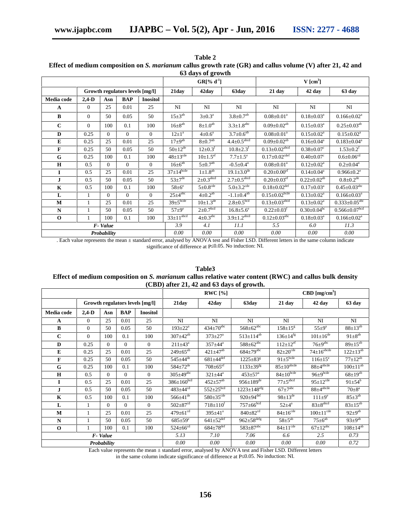|              |              |          |                                 |                 |                          | 63 days of growth          |                               |                                 |                               |                                 |
|--------------|--------------|----------|---------------------------------|-----------------|--------------------------|----------------------------|-------------------------------|---------------------------------|-------------------------------|---------------------------------|
|              |              |          |                                 |                 |                          | $GR[% d-1]$                |                               |                                 | $V$ [cm <sup>3</sup> ]        |                                 |
|              |              |          | Growth regulators levels [mg/l] |                 | 21day                    | 42day                      | 63day                         | $21$ day                        | 42 day                        | 63 day                          |
| Media code   | $2,4-D$      | Asn      | <b>BAP</b>                      | <b>Inositol</b> |                          |                            |                               |                                 |                               |                                 |
| $\mathbf{A}$ | $\mathbf{0}$ | 25       | 0.01                            | 25              | NI                       | NI                         | NI                            | NI                              | NI                            | NI                              |
| B            | $\mathbf{0}$ | 50       | 0.05                            | 50              | $15\pm3^{ab}$            | $3 \pm 0.3^{\text{a}}$     | $3.8 \pm 0.7$ <sup>ab</sup>   | $0.08 \pm 0.01^a$               | $0.18 \pm 0.03^{\text{a}}$    | $0.166 \pm 0.02^a$              |
| $\mathbf{C}$ | $\mathbf{0}$ | 100      | 0.1                             | 100             | $16\pm8^{ab}$            | $8 \pm 1.0^{ab}$           | $3.3{\pm}1.8^{\rm abc}$       | $0.09 \pm 0.02$ <sup>ab</sup>   | $0.15 \pm 0.03^{\text{a}}$    | $0.25 \pm 0.03$ <sup>ab</sup>   |
| D            | 0.25         | $\Omega$ | $\Omega$                        | $\mathbf{0}$    | $12 \pm 1^a$             | $4\pm 0.6^{\text{a}}$      | $3.7 \pm 0.6^{\overline{ab}}$ | $0.08 \pm 0.01$ <sup>a</sup>    | $0.15 \pm 0.02^a$             | $0.15 \pm 0.02^a$               |
| ${\bf E}$    | 0.25         | 25       | 0.01                            | 25              | $17\pm9^{ab}$            | $8\pm0.7$ <sup>ab</sup>    | $4.4 \pm 0.5^{\mathrm{abcd}}$ | $0.09 \pm 0.02$ <sup>ab</sup>   | $0.16 \pm 0.04$ <sup>a</sup>  | $0.183 \pm 0.04^a$              |
| $\mathbf F$  | 0.25         | 50       | 0.05                            | 50              | $50 \pm 12^{de}$         | $12{\pm}0.3^f$             | $10.8 \pm 2.3$ <sup>f</sup>   | $0.13 \pm 0.02$ <sup>abcd</sup> | $0.38 \pm 0.07$ <sup>c</sup>  | $1.53 \pm 0.2$ <sup>f</sup>     |
| G            | 0.25         | 100      | 0.1                             | 100             | $48 \pm 13^{\text{cde}}$ | $10 \pm 1.5$ <sup>ef</sup> | $7.7 \pm 1.5^e$               | $0.17 \pm 0.02^{\text{cdef}}$   | $0.40 \pm 0.07$ <sup>c</sup>  | $0.6 \pm 0.06^{\rm cd}$         |
| $\mathbf H$  | 0.5          | $\theta$ | $\Omega$                        | $\theta$        | $16\pm6^{ab}$            | $5\pm0.7$ <sup>ab</sup>    | $-0.5 \pm 0.4$ <sup>a</sup>   | $0.08 \pm 0.01$ <sup>a</sup>    | $0.12 \pm 0.02^a$             | $0.2 \pm 0.04^a$                |
| I            | 0.5          | 25       | 0.01                            | 25              | $37\pm14^{\text{bcde}}$  | $1 \pm 1.8$ <sup>ab</sup>  | $19.1 \pm 3.0^{\text{de}}$    | $0.20 \pm 0.00$ <sup>ef</sup>   | $0.14 \pm 0.04$ <sup>a</sup>  | $0.966 \pm 0.2$ <sup>e</sup>    |
| J            | 0.5          | 50       | 0.05                            | 50              | $53 \pm 7^{\text{de}}$   | $2\pm 0.3^{\text{abcd}}$   | $2.7 \pm 0.5$ <sup>abcd</sup> | $0.20 \pm 0.03$ <sup>ef</sup>   | $0.22 \pm 0.02$ <sup>ab</sup> | $0.8 \pm 0.2$ <sup>de</sup>     |
| $\bf K$      | 0.5          | 100      | 0.1                             | 100             | $58\pm6^\circ$           | $5 \pm 0.8$ cde            | $5.0 \pm 3.2$ <sup>cde</sup>  | $0.18 \pm 0.02$ <sup>def</sup>  | $0.17 \pm 0.03^{\text{a}}$    | $0.45 \pm 0.03$ <sup>abc</sup>  |
| L            | 1            | $\Omega$ | $\Omega$                        | $\theta$        | $25\pm4^{\text{abc}}$    | $4\pm 0.2^{a\overline{b}}$ | $-1.1 \pm 0.4$ <sup>ab</sup>  | $0.15 \pm 0.02^{\text{bcde}}$   | $0.13 \pm 0.02^a$             | $0.166 \pm 0.03^a$              |
| M            | $\mathbf{1}$ | 25       | 0.01                            | 25              | $39 \pm 5$ bcde          | $10 \pm 1.3^{\text{de}}$   | $2.8 \pm 0.5^{bcd}$           | $0.13 \pm 0.03^{\text{abcd}}$   | $0.13 \pm 0.02^a$             | $0.333 \pm 0.05$ <sup>abc</sup> |
| ${\bf N}$    |              | 50       | 0.05                            | 50              | $57 \pm 9^e$             | $2\pm0.7$ <sup>bcd</sup>   | $16.8 \pm 5.6^e$              | $0.22 \pm 0.03$ <sup>f</sup>    | $0.30 \pm 0.04$ <sup>bc</sup> | $0.566 \pm 0.07$ bcd            |
| $\mathbf 0$  | 1            | 100      | 0.1                             | 100             | $33 \pm 11^{abcd}$       | $4\pm0.3^{\text{abc}}$     | $3.9 \pm 1.2$ <sup>abcd</sup> | $0.12 \pm 0.03^{\text{abc}}$    | $0.18 \pm 0.03$ <sup>a</sup>  | $0.166 \pm 0.02^a$              |
|              |              | F-Value  |                                 |                 | 3.9                      | 4.1                        | 11.1                          | 5.5                             | 6.0                           | 11.3                            |
| Probability  |              |          |                                 |                 | 0.00                     | 0.00                       | 0.00                          | 0.00                            | 0.00                          | 0.00                            |

**Table 2 Effect of medium composition on** *S. marianum* **callus growth rate (GR) and callus volume (V) after 21, 42 and**

. Each value represents the mean ± standard error, analysed by ANOVA test and Fisher LSD. Different letters in the same column indicate significance of difference at P 0.05. No induction: NI.

| <b>Table3</b>                                                                                                  |
|----------------------------------------------------------------------------------------------------------------|
| Effect of medium composition on S. <i>marianum</i> callus relative water content (RWC) and callus bulk density |
| $(CBD)$ after 21, 42 and 63 days of growth.                                                                    |

|              |                |          |            |                                 | RWC $[%]$                    |                             |                              | $\text{CBD}$ [mg/cm <sup>3</sup> ] |                              |                              |  |
|--------------|----------------|----------|------------|---------------------------------|------------------------------|-----------------------------|------------------------------|------------------------------------|------------------------------|------------------------------|--|
|              |                |          |            | Growth regulators levels [mg/l] | 21day                        | 42day                       | 63day                        | 21 day                             | 42 day                       | 63 day                       |  |
| Media code   | $2,4-D$        | Asn      | <b>BAP</b> | <b>Inositol</b>                 |                              |                             |                              |                                    |                              |                              |  |
| $\mathbf{A}$ | $\overline{0}$ | 25       | 0.01       | 25                              | NI                           | NI                          | NI                           | NI                                 | NI                           | NI                           |  |
| $\bf{B}$     | $\overline{0}$ | 50       | 0.05       | 50                              | $193 \pm 22^{\text{a}}$      | $434 \pm 70^{abc}$          | $568 \pm 62^{abc}$           | $158 \pm 15^8$                     | $55 \pm 9^a$                 | $88 \pm 13^{ab}$             |  |
| $\mathbf{C}$ | $\Omega$       | 100      | 0.1        | 100                             | $307 \pm 42^{ab}$            | $373 \pm 27^{\rm a}$        | $513 \pm 114^{ab}$           | $136 \pm 14$ <sup>fg</sup>         | $101 \pm 16^{de}$            | $91\pm8^{ab}$                |  |
| D            | 0.25           | $\Omega$ | $\Omega$   | $\Omega$                        | $211 \pm 43^a$               | $357 + 44^a$                | $588 \pm 62^{abc}$           | $112 \pm 12^{ef}$                  | $76 \pm 9$ <sup>abc</sup>    | $89 \pm 15^{ab}$             |  |
| ${\bf E}$    | 0.25           | 25       | 0.01       | 25                              | $249 \pm 65^{ab}$            | $421 \pm 47^{ab}$           | $684\pm79^{\rm abc}$         | $82{\pm}20^{\text{cde}}$           | $74 \pm 16$ <sup>abcde</sup> | $122 \pm 13^{ab}$            |  |
| $\mathbf F$  | 0.25           | 50       | 0.05       | 50                              | $545 \pm 44^{\overline{de}}$ | $681 \pm 44$ <sup>def</sup> | $1225 \pm 83^8$              | $91 \pm 5$ bcde                    | $116\pm15^\circ$             | $77 \pm 12^{ab}$             |  |
| G            | 0.25           | 100      | 0.1        | 100                             | $584 \pm 72^{\overline{de}}$ | $708 \pm 65$ <sup>ef</sup>  | $1133 \pm 39$ <sup>fg</sup>  | $85 \pm 10^{abcde}$                | $88\pm4^{\rm abcde}$         | $100 \pm 11^{ab}$            |  |
| H            | 0.5            | $\Omega$ | $\Omega$   | $\mathbf{0}$                    | $305\pm49$ <sup>abc</sup>    | $321 \pm 44^a$              | $453 \pm 57^{\rm a}$         | $84 \pm 10^{bcde}$                 | $96 \pm 9$ bcde              | $68 \pm 19^{ab}$             |  |
|              | 0.5            | 25       | 0.01       | 25                              | $386 \pm 160^{bcd}$          | $452 \pm 57^{ab}$           | $956 \pm 189$ <sup>de</sup>  | $77 \pm 5$ <sup>abcd</sup>         | $95 \pm 12^{\text{cde}}$     | $91 \pm 54^{\overline{b}}$   |  |
| $\mathbf{J}$ | 0.5            | 50       | 0.05       | 50                              | $483 \pm 44$ <sup>cd</sup>   | $552 \pm 25^{bcd}$          | $1223 \pm 148^{\rm eff}$     | $67 \pm 7$ <sup>abc</sup>          | $88\pm4^{\text{abcde}}$      | $70 + 8^{\rm a}$             |  |
| $\mathbf K$  | 0.5            | 100      | 0.1        | 100                             | $566 \pm 41^{\text{de}}$     | $580 \pm 35$ <sup>cde</sup> | $920 \pm 94$ <sup>def</sup>  | $98 \pm 13^{\text{de}}$            | $111 \pm 9^e$                | $85 \pm 3^{ab}$              |  |
| L            |                | $\Omega$ | $\Omega$   | $\Omega$                        | $502 \pm 87$ <sup>cd</sup>   | $718 \pm 110^{f}$           | $757 \pm 66^{bcd}$           | $52\pm4^{\mathrm{a}}$              | $83 \pm 8$ abcd              | $83 \pm 15^{ab}$             |  |
| M            |                | 25       | 0.01       | 25                              | $479 \pm 61$ <sup>cd</sup>   | $395 \pm 41^{\circ}$        | $840 \pm 82$ <sup>cd</sup>   | $84 \pm 16$ <sup>cde</sup>         | $100 \pm 11^{\text{cde}}$    | $92 + 9^{ab}$                |  |
| N            |                | 50       | 0.05       | 50                              | $685 \pm 59^{\circ}$         | $641 \pm 52$ <sup>def</sup> | $962 \pm 58$ <sup>defg</sup> | $58 + 5^{ab}$                      | $75 \pm 6^{ab}$              | $93 \pm 9^{ab}$              |  |
| $\mathbf 0$  |                | 100      | 0.1        | 100                             | $524 \pm 66$ <sup>cd</sup>   | $684 \pm 78$ <sup>def</sup> | $583 \pm 87^{abc}$           | $84 \pm 11$ <sup>cde</sup>         | $67 \pm 12^{abc}$            | $108 \pm 14^{a\overline{b}}$ |  |
| F-Value      |                |          |            |                                 | 5.13                         | 7.10                        | 7.06                         | 6.6                                | 2.5                          | 0.73                         |  |
| Probability  |                |          |            |                                 | 0.00                         | 0.00                        | 0.00                         | 0.00                               | 0.00                         | 0.72                         |  |

Each value represents the mean ± standard error, analysed by ANOVA test and Fisher LSD. Different letters

in the same column indicate significance of difference at P≤0.05. No induction: NI.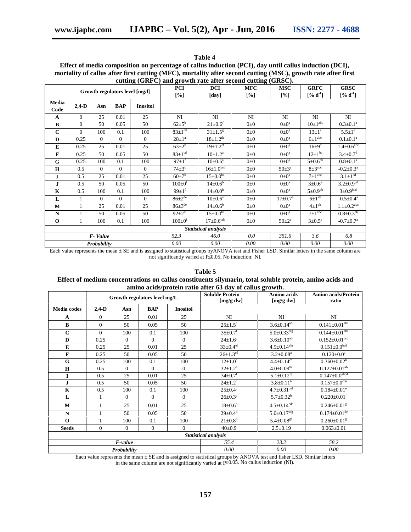|              |          |          |            |                                | $\alpha$ cutting (GKFC) and growth rate arter second cutting (GKSC). |                             |            |                         |                         |                              |
|--------------|----------|----------|------------|--------------------------------|----------------------------------------------------------------------|-----------------------------|------------|-------------------------|-------------------------|------------------------------|
|              |          |          |            | Growth regulators level [mg/l] | PCI                                                                  | <b>DCI</b>                  | <b>MFC</b> | <b>MSC</b>              | <b>GRFC</b>             | <b>GRSC</b>                  |
|              |          |          |            |                                | [%]                                                                  | [day]                       | [%]        | [%]                     | $[%d-1]$                | $[%d-1]$                     |
| Media        | $2,4-D$  | Asn      | <b>BAP</b> | <b>Inositol</b>                |                                                                      |                             |            |                         |                         |                              |
| Code         |          |          |            |                                |                                                                      |                             |            |                         |                         |                              |
| $\mathbf{A}$ | $\theta$ | 25       | 0.01       | 25                             | NI                                                                   | NI                          | NI         | NI                      | NI                      | NI                           |
| B            | $\Omega$ | 50       | 0.05       | 50                             | $62\pm5$ <sup>b</sup>                                                | $21 \pm 0.6$ <sup>f</sup>   | $0\pm 0$   | $0 \pm 0^{\text{a}}$    | $10\pm1^{\rm abc}$      | $0.3 \pm 0.1^a$              |
| $\mathbf{C}$ | $\Omega$ | 100      | 0.1        | 100                            | $83 \pm 1$ <sup>cd</sup>                                             | $31 \pm 1.5^8$              | $0\pm 0$   | $0\pm 0^{\text{a}}$     | $13 \pm 1$ <sup>c</sup> | $5.5 \pm 1$ <sup>e</sup>     |
| D            | 0.25     | $\theta$ | $\Omega$   | $\overline{0}$                 | $28 \pm 1^a$                                                         | $18 \pm 1.2^{\text{de}}$    | $0\pm 0$   | $0\pm 0^{\text{a}}$     | $6\pm1^{\rm abc}$       | $0.1 \pm 0.1^a$              |
| E            | 0.25     | 25       | 0.01       | 25                             | $63+2^b$                                                             | $19 \pm 1.2$ <sup>ef</sup>  | $0\pm 0$   | $0 \pm 0^{\text{a}}$    | $16\pm9$ <sup>d</sup>   | $1.4 \pm 0.6$ <sup>abc</sup> |
| $\mathbf{F}$ | 0.25     | 50       | 0.05       | 50                             | $83 \pm 1$ <sup>cd</sup>                                             | $10\pm1.2^{\rm a}$          | $0\pm 0$   | $0 \pm 0^{\text{a}}$    | $12\pm1^{bc}$           | $3.4 \pm 0.7$ <sup>d</sup>   |
| G            | 0.25     | 100      | 0.1        | 100                            | $97 \pm 1^{f}$                                                       | $10\pm 0.6^{\rm a}$         | $0\pm 0$   | $0\pm 0^{\rm a}$        | $5\pm0.6^{\text{ab}}$   | $0.8 \pm 0.1^a$              |
| $\mathbf H$  | 0.5      | $\Omega$ | $\Omega$   | $\overline{0}$                 | $74\pm3$ <sup>c</sup>                                                | $16 \pm 1.0$ bcd            | $0\pm 0$   | $50\pm3^{\circ}$        | $8\pm3^{\rm abc}$       | $-0.2 \pm 0.3^{\text{a}}$    |
| $\bf{I}$     | 0.5      | 25       | 0.01       | 25                             | $60+7^b$                                                             | $15 \pm 0.0^{\rm bc}$       | $0\pm 0$   | $0\pm0^{\mathrm{a}}$    | $7+1$ <sup>abc</sup>    | $3.1 \pm 1^{cd}$             |
| J            | 0.5      | 50       | 0.05       | 50                             | $100 \pm 0^{\text{t}}$                                               | $14\pm0.6^{\circ}$          | $0\pm 0$   | $0 \pm 0^{\text{a}}$    | $3 \pm 0.6^{\circ}$     | $3.2 \pm 0.9^{cd}$           |
| $\mathbf K$  | 0.5      | 100      | 0.1        | 100                            | $99+1$ <sup>f</sup>                                                  | $14\pm0.0^{\rm b}$          | $0\pm 0$   | $0\pm 0^{\rm a}$        | $5\pm0.9^{ab}$          | $3\pm0.9$ <sub>bcd</sub>     |
| L            |          | $\Omega$ | $\Omega$   | $\theta$                       | $86 \pm 2^{de}$                                                      | $10\pm 0.6^{\rm a}$         | $0\pm 0$   | $17 \pm 0.7^{\text{a}}$ | $6\pm1^{ab}$            | $-0.5 \pm 0.4^a$             |
| M            |          | 25       | 0.01       | 25                             | $86 \pm 3^{\text{de}}$                                               | $14\pm0.6^{\rm b}$          | $0\pm 0$   | $0 \pm 0^{\text{a}}$    | $4\pm1^{ab}$            | $1.1 \pm 0.2$ <sup>abc</sup> |
| $\mathbf N$  |          | 50       | 0.05       | 50                             | $92+2$ <sup>ef</sup>                                                 | $15 \pm 0.0^{\rm bc}$       | $0\pm 0$   | $0 \pm 0^{\text{a}}$    | $7\pm1^{\rm abc}$       | $0.8 \pm 0.3^{ab}$           |
| $\mathbf 0$  |          | 100      | 0.1        | 100                            | $100 \pm 0^{\rm f}$                                                  | $17\pm0.6^{\overline{cde}}$ | $0\pm 0$   | $50 \pm 2$ <sup>c</sup> | $3 \pm 0.5^{\text{a}}$  | $-0.7 \pm 0.7$ <sup>a</sup>  |
|              |          |          |            |                                |                                                                      | Statistical analysis        |            |                         |                         |                              |
|              |          | F-Value  |            |                                | 52.3                                                                 | 46.0                        | 0.0        | 351.6                   | 3.6                     | 6.8                          |
| Probability  |          |          |            |                                | 0.00                                                                 | 0.00                        | 0.00       | 0.00                    | 0.00                    | $0.00\,$                     |

**Table 4 Effect of media composition on percentage of callus induction (PCI), day until callus induction (DCI), mortality of callus after first cutting (MFC), mortality after second cutting (MSC), growth rate after first cutting (GRFC) and growth rate after second cutting (GRSC).**

Each value represents the mean ± SE and is assigned to statistical groups byANOVA test and Fisher LSD. Similar letters in the same column are not significantly varied at P 0.05. No induction: NI.

|                    |              |             |                              |                 | amino acids/protein ratio after 63 day of callus growth. |                                |                                 |
|--------------------|--------------|-------------|------------------------------|-----------------|----------------------------------------------------------|--------------------------------|---------------------------------|
|                    |              |             | Growth regulators level mg/L |                 | <b>Soluble Protein</b><br>[mg/g dw]                      | Amino acids<br>[mg/g dw]       | Amino acids/Protein<br>ratio    |
| <b>Media</b> codes | $2,4-D$      | Asn         | <b>BAP</b>                   | <b>Inositol</b> |                                                          |                                |                                 |
| A                  | $\Omega$     | 25          | 0.01                         | 25              | NI                                                       | NI                             | NI                              |
| $\bf{B}$           | $\Omega$     | 50          | 0.05                         | 50              | $25 \pm 1.5^c$                                           | $3.6 \pm 0.14^{ab}$            | $0.141\pm0.01^{\rm abc}$        |
| $\mathbf C$        | $\Omega$     | 100         | 0.1                          | 100             | $35 \pm 0.7$ <sup>f</sup>                                | $5.0 \pm 0.33$ <sup>efg</sup>  | $0.144 \pm 0.01$ <sup>abc</sup> |
| D                  | 0.25         | $\Omega$    | $\Omega$                     | $\Omega$        | $24 \pm 1.6^c$                                           | $3.6 \pm 0.10^{ab}$            | $0.152 \pm 0.01$ bcd            |
| ${\bf E}$          | 0.25         | 25          | 0.01                         | 25              | $33 \pm 0.4$ ef                                          | $4.9 \pm 0.14$ <sup>efg</sup>  | $0.151 \pm 0.0^{bcd}$           |
| F                  | 0.25         | 50          | 0.05                         | 50              | $26 \pm 1.3$ <sup>cd</sup>                               | $3.2 \pm 0.08^a$               | $0.120 \pm 0.0^a$               |
| G                  | 0.25         | 100         | 0.1                          | 100             | $12{\pm}1.0^a$                                           | $4.4 \pm 0.14^{cd}$            | $0.360 \pm 0.02$ <sup>h</sup>   |
| $\mathbf H$        | 0.5          | $\Omega$    | $\Omega$                     | $\Omega$        | $32 \pm 1.2^e$                                           | $4.0 \pm 0.09^{\overline{bc}}$ | $0.127\pm0.01^{\rm ab}$         |
| I                  | 0.5          | 25          | 0.01                         | 25              | $34 \pm 0.7$ <sup>f</sup>                                | $5.1 \pm 0.12^{fg}$            | $0.147 \pm 0.0$ <sup>abcd</sup> |
| J                  | 0.5          | 50          | 0.05                         | 50              | $24 \pm 1.2^c$                                           | $3.8 \pm 0.11^b$               | $0.157 \pm 0.0^{\rm cde}$       |
| $\mathbf K$        | 0.5          | 100         | 0.1                          | 100             | $25 \pm 0.4^c$                                           | $4.7 \pm 0.31^{\text{def}}$    | $0.184 \pm 0.01^e$              |
| L                  |              | $\Omega$    | $\Omega$                     | $\Omega$        | $26 \pm 0.3^c$                                           | $5.7 \pm 0.32^h$               | $0.220 \pm 0.01$ <sup>f</sup>   |
| M                  | $\mathbf{1}$ | 25          | 0.01                         | 25              | $18 \pm 0.6^{\rm b}$                                     | $4.5 \pm 0.14$ <sup>cde</sup>  | $0.246 \pm 0.01$ <sup>g</sup>   |
| $\mathbf N$        |              | 50          | 0.05                         | 50              | $29 \pm 0.4$ <sup>d</sup>                                | $5.0 \pm 0.17$ <sup>efg</sup>  | $0.174 \pm 0.01$ <sup>de</sup>  |
| $\Omega$           |              | 100         | 0.1                          | 100             | $21 \pm 0.8^{\rm b}$                                     | $5.4 \pm 0.08$ <sup>gh</sup>   | $0.260 \pm 0.01$ <sup>g</sup>   |
| <b>Seeds</b>       | $\Omega$     | $\Omega$    | $\Omega$                     | $\Omega$        | $40+0.9$                                                 | $2.5 \pm 0.19$                 | $0.063 \pm 0.01$                |
|                    |              |             |                              |                 | Statistical analysis                                     |                                |                                 |
|                    |              | F-value     |                              |                 | 55.4                                                     | 23.2                           | 58.2                            |
|                    |              | Probability |                              |                 | 0.00                                                     | 0.00                           | 0.00                            |

**Table 5 Effect of medium concentrations on callus constituents silymarin, total soluble protein, amino acids and**

Each value represents the mean  $\pm$  SE and is assigned to statistical groups by ANOVA test and fisher LSD. Similar letters in the same column are not significantly varied at P 0.05. No callus induction (NI).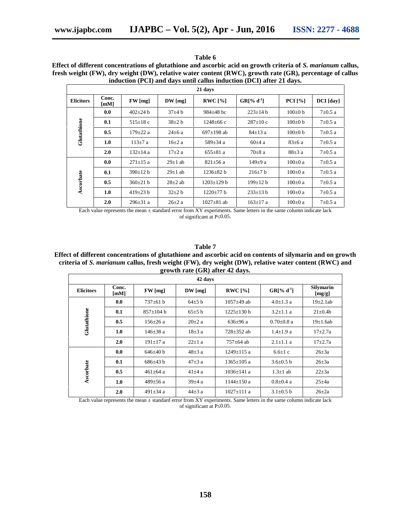|                             |  |                                                                                                                                                                                                                                 | Table 6 |  |                                    |  |        |  |
|-----------------------------|--|---------------------------------------------------------------------------------------------------------------------------------------------------------------------------------------------------------------------------------|---------|--|------------------------------------|--|--------|--|
| $\sim$ $\sim$ $\sim$ $\sim$ |  | $\sim$ . The state of the state of the state of the state of the state of the state of the state of the state of the state of the state of the state of the state of the state of the state of the state of the state of the st |         |  | $\sim$ $\sim$ $\sim$ $\sim$ $\sim$ |  | $\sim$ |  |

| Effect of different concentrations of glutathione and ascorbic acid on growth criteria of S. <i>marianum</i> callus, |
|----------------------------------------------------------------------------------------------------------------------|
| fresh weight (FW), dry weight (DW), relative water content (RWC), growth rate (GR), percentage of callus             |
| induction (PCI) and days until callus induction (DCI) after 21 days.                                                 |

|                  |               |                |             | 21 days          |                |               |               |
|------------------|---------------|----------------|-------------|------------------|----------------|---------------|---------------|
| <b>Elicitors</b> | Conc.<br>[mM] | $FW$ [mg]      | $DW$ [mg]   | RWC [%]          | $GR[% d^{-1}]$ | PCI [%]       | DCI [day]     |
|                  | 0.0           | $402 \pm 24$ b | $37\pm4$ b  | $984 \pm 48$ bc  | $223 \pm 14 b$ | $100\pm0$ b   | $7\pm0.5$ a   |
|                  | 0.1           | $515 \pm 18$ c | $38\pm2$ b  | $1248 \pm 66$ c  | $287 \pm 10$ c | $100\pm0$ b   | $7 \pm 0.5$ a |
| Glutathione      | 0.5           | $179 \pm 22$ a | $24\pm6$ a  | $697+198$ ab     | $84 \pm 13$ a  | $100\pm0$ b   | $7 \pm 0.5$ a |
|                  | 1.0           | $113 + 7a$     | $16\pm2$ a  | $589 \pm 34$ a   | $60\pm4$ a     | $83\pm6$ a    | $7 \pm 0.5$ a |
|                  | 2.0           | $132+14a$      | $17\pm 2$ a | $655 \pm 81$ a   | $70\pm8$ a     | $88\pm3$ a    | $7 \pm 0.5$ a |
|                  | 0.0           | $271 \pm 15$ a | $29\pm1$ ab | $821 \pm 56$ a   | 149 $\pm$ 9 a  | $100\pm0$ a   | $7 \pm 0.5$ a |
|                  | 0.1           | $390+12 h$     | $29\pm1$ ab | $1236+82 h$      | $216\pm7$ b    | $100+0a$      | $7 \pm 0.5$ a |
| Ascorbate        | 0.5           | $360\pm21$ b   | $28\pm2$ ab | $1203 \pm 129 b$ | $199 \pm 12 b$ | $100 \pm 0$ a | $7 \pm 0.5$ a |
|                  | 1.0           | $419\pm23$ b   | $32\pm2 b$  | $1220 \pm 77$ b  | $233 \pm 13 b$ | $100\pm0$ a   | $7 \pm 0.5$ a |
|                  | 2.0           | $296 \pm 31$ a | $26\pm2$ a  | $1027 \pm 81$ ab | $163 \pm 17$ a | $100\pm0$ a   | $7 \pm 0.5$ a |

Each value represents the mean ± standard error from XY experiments. Same letters in the same column indicate lack of significant at P 0.05.

**Table 7**

## **Effect of different concentrations of glutathione and ascorbic acid on contents of silymarin and on growth criteria of** *S. marianum* **callus, fresh weight (FW), dry weight (DW), relative water content (RWC) and growth rate (GR) after 42 days.**

| 42 days          |                               |                |             |                  |                  |                            |  |  |  |  |  |
|------------------|-------------------------------|----------------|-------------|------------------|------------------|----------------------------|--|--|--|--|--|
| <b>Elicitors</b> | Conc.<br>$\lceil$ mM $\rceil$ | FW [mg]        | $DW$ [mg]   | RWC[%]           | $GR[% d^{-1}]$   | <b>Silymarin</b><br>[mg/g] |  |  |  |  |  |
|                  | 0.0                           | $737+61 h$     | $64\pm5$ b  | $1057+49$ ab     | $4.0 \pm 1.3$ a  | $19\pm 2.1ab$              |  |  |  |  |  |
|                  | 0.1                           | $857+104 h$    | 65±5 b      | $1225 \pm 130 b$ | $3.2 \pm 1.1$ a  | $21 \pm 0.4b$              |  |  |  |  |  |
| Glutathione      | 0.5                           | $156 \pm 26$ a | $20\pm 2$ a | $636 \pm 96$ a   | $0.70 \pm 0.8$ a | $19\pm1.6ab$               |  |  |  |  |  |
|                  | 1.0                           | $146 + 38a$    | $18\pm3$ a  | $728 + 352$ ab   | $1.4 \pm 1.9$ a  | $17 + 2.7a$                |  |  |  |  |  |
|                  | 2.0                           | $191 \pm 17$ a | $22+1a$     | $757 + 64$ ab    | $2.1 + 1.1$ a    | $17 + 2.7a$                |  |  |  |  |  |
|                  | 0.0                           | $646\pm40$ b   | $48\pm3$ a  | $1249 \pm 115$ a | $6.6 \pm 1$ c    | $26\pm 3a$                 |  |  |  |  |  |
|                  | 0.1                           | $686\pm43$ b   | $47\pm3$ a  | $1365+105$ a     | $3.6 \pm 0.5$ b  | $26\pm 3a$                 |  |  |  |  |  |
| Ascorbate        | 0.5                           | $461 \pm 64$ a | $41\pm4$ a  | $1036 + 141a$    | $1.3 \pm 1$ ab   | $22\pm 3a$                 |  |  |  |  |  |
|                  | 1.0                           | $489{\pm}56$ a | $39\pm4$ a  | $1144 \pm 150$ a | $0.8 \pm 0.4$ a  | $25\pm 4a$                 |  |  |  |  |  |
|                  | 2.0                           | 491 $\pm$ 34 a | $44\pm3$ a  | $1027 \pm 111$ a | $3.1 \pm 0.5$ b  | $26\pm 2a$                 |  |  |  |  |  |

Each value represents the mean ± standard error from XY experiments. Same letters in the same column indicate lack of significant at P 0.05.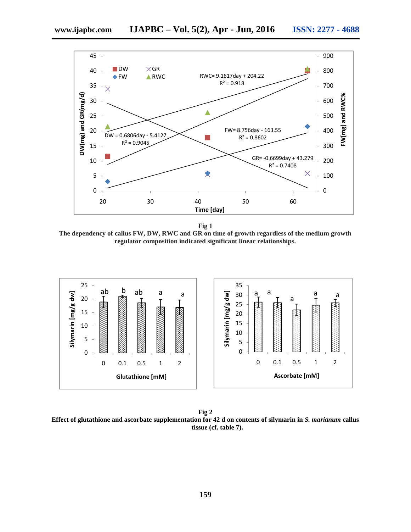

**Fig 1**

**Time [day]**

**The dependency of callus FW, DW, RWC and GR on time of growth regardless of the medium growth regulator composition indicated significant linear relationships.**



**Fig 2 Effect of glutathione and ascorbate supplementation for 42 d on contents of silymarin in** *S. marianum* **callus tissue (cf. table 7).**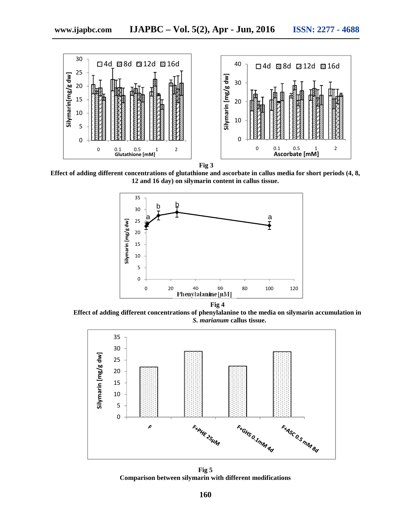

**Fig 3**

**Effect of adding different concentrations of glutathione and ascorbate in callus media for short periods (4, 8, 12 and 16 day) on silymarin content in callus tissue.**



**Effect of adding different concentrations of phenylalanine to the media on silymarin accumulation in** *S. marianum* **callus tissue.**



**Fig 5 Comparison between silymarin with different modifications**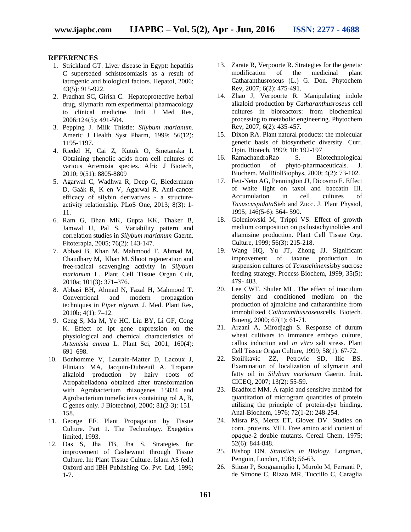#### **REFERENCES**

- 1. Strickland GT. Liver disease in Egypt: hepatitis C superseded schistosomiasis as a result of iatrogenic and biological factors. Hepatol, 2006; 43(5): 915-922.
- 2. Pradhan SC, Girish C. Hepatoprotective herbal drug, silymarin rom experimental pharmacology to clinical medicine. Indi J Med Res, 2006;124(5): 491-504.
- 3. Pepping J. Milk Thistle: *Silybum marianum*. Americ J Health Syst Pharm, 1999; 56(12): 1195-1197.
- 4. Riedel H, Cai Z, Kutuk O, Smetanska I. Obtaining phenolic acids from cell cultures of various Artemisia species. Afric J Biotech, 2010; 9(51): 8805-8809
- 5. Agarwal C, Wadhwa R, Deep G, Biedermann D, Gaák R, K en V, Agarwal R. Anti-cancer efficacy of silybin derivatives - a structure activity relationship. PLoS One, 2013; 8(3): 1- 11.
- 6. Ram G, Bhan MK, Gupta KK, Thaker B, Jamwal U, Pal S. Variability pattern and correlation studies in *Silybum marianum* Gaertn. Fitoterapia, 2005; 76(2): 143-147.
- 7. Abbasi B, Khan M, Mahmood T, Ahmad M, Chaudhary M, Khan M. Shoot regeneration and free-radical scavenging activity in *Silybum marianum* L. Plant Cell Tissue Organ Cult, 2010a; 101(3): 371–376.
- 8. Abbasi BH, Ahmad N, Fazal H, Mahmood T. Conventional and modern propagation techniques in *Piper nigrum*. J. Med. Plant Res, 2010b; 4(1): 7–12.
- 9. Geng S, Ma M, Ye HC, Liu BY, Li GF, Cong K. Effect of ipt gene expression on the physiological and chemical characteristics of *Artemisia annua* L. Plant Sci, 2001; 160(4): 691–698.
- 10. Bonhomme V, Laurain-Matter D, Lacoux J, Fliniaux MA, Jacquin-Dubreuil A. Tropane alkaloid production by hairy roots of Atropabelladona obtained after transformation with Agrobacterium rhizogenes 15834 and Agrobacterium tumefaciens containing rol A, B, C genes only. J Biotechnol, 2000; 81(2-3): 151– 158.
- 11. George EF. Plant Propagation by Tissue Culture. Part 1. The Technology. Exegetics limited, 1993.
- 12. Das S, Jha TB, Jha S. Strategies for improvement of Cashewnut through Tissue Culture. In: Plant Tissue Culture. Islam AS (ed.) Oxford and IBH Publishing Co. Pvt. Ltd, 1996; 1-7.
- 13. Zarate R, Verpoorte R. Strategies for the genetic modification of the medicinal plant Catharanthusroseus (L.) G. Don. Phytochem Rev, 2007; 6(2): 475-491.
- 14. Zhao J, Verpoorte R. Manipulating indole alkaloid production by *Catharanthusroseus* cell cultures in bioreactors: from biochemical processing to metabolic engineering. Phytochem Rev, 2007; 6(2): 435-457.
- 15. Dixon RA. Plant natural products: the molecular genetic basis of biosynthetic diversity. Curr. Opin. Biotech, 1999; 10: 192-197
- 16. RamachandraRao S. Biotechnological production of phyto-pharmaceuticals. J. Biochem. MolBiolBiophys, 2000; 4(2): 73-102.
- 17. Fett-Neto AG, Pennington JJ, Dicosmo F. Effect of white light on taxol and baccatin III. Accumulation in cell cultures of *Taxuscuspidata*Sieb and Zucc. J. Plant Physiol, 1995; 146(5-6): 564- 590.
- 18. Goleniowski M, Trippi VS. Effect of growth medium composition on psilostachyinolides and altamisine production. Plant Cell Tissue Org. Culture, 1999; 56(3): 215-218.
- 19. Wang HQ, Yu JT, Zhong JJ. Significant improvement of taxane production in suspension cultures of *Taxuschinensis*by sucrose feeding strategy. Process Biochem, 1999; 35(5): 479- 483.
- 20. Lee CWT, Shuler ML. The effect of inoculum density and conditioned medium on the production of ajmalcine and catharanthine from immobilized *Catharanthusroseus*cells. Biotech. Bioeng, 2000; 67(1): 61-71.
- 21. Arzani A, Mirodjagh S. Response of durum wheat cultivars to immature embryo culture, callus induction and *in vitro* salt stress. Plant Cell Tissue Organ Culture, 1999; 58(1): 67-72.
- 22. Stoiljkavic ZZ, Petrovic SD, Ilic BS. Examination of localization of silymarin and fatty oil in *Silybum marianum* Gaertn. fruit. CICEQ, 2007; 13(2): 55-59.
- 23. Bradford MM. A rapid and sensitive method for quantitation of microgram quantities of protein utilizing the principle of protein-dye binding. Anal-Biochem, 1976; 72(1-2): 248-254.
- 24. Misra PS, Mertz ET, Glover DV. Studies on corn. proteins. VIII. Free amino acid content of *opaque-*2 double mutants. Cereal Chem, 1975; 52(6): 844-848.
- 25. Bishop ON. *Statistics in Biology*. Longman, Penguin, London, 1983; 56-63.
- 26. Stiuso P, Scognamiglio I, Murolo M, Ferranti P, de Simone C, Rizzo MR, Tuccillo C, Caraglia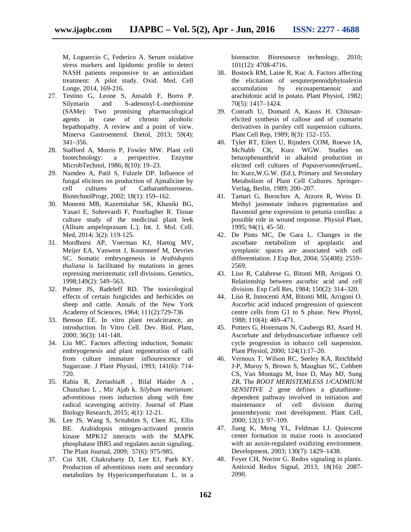M, Loguercio C, Federico A. Serum oxidative stress markers and lipidomic profile to detect NASH patients responsive to an antioxidant treatment: A pilot study. Oxid. Med. Cell Longe, 2014, 169-216.

- 27. Testino G, Leone S, Ansaldi F, Borro P. Silymarin and S-adenosyl-L-methionine (SAMe): Two promising pharmacological agents in case of chronic alcoholic hepathopathy. A review and a point of view. Minerva Gastroenterol. Dietol, 2013; 59(4): 341–356.
- 28. Stafford A, Morris P, Fowler MW. Plant cell biotechnology: a perspective. Enzyme MicrobTechnol, 1986; 8(10): 19–23.
- 29. Namdeo A, Patil S, Fulzele DP. Influence of fungal elicitors on production of Ajmalicine by<br>cell cultures of Catharanthus roseus. cultures of Catharanthusroseus. BiotechnolProgr, 2002; 18(1): 159–162.
- 30. Monemi MB, Kazemitabar SK, Khaniki BG, Yasari E, Sohrevardi F, Pourbagher R. Tissue culture study of the medicinal plant leek (Allium ampeloprasum L.). Int. J. Mol. Cell. Med, 2014; 3(2): 119-125.
- 31. Mordhorst AP, Voerman KJ, Hartog MV, Meijer EA, Vanwent J, Koornneef M, Devries SC. Somatic embryogenesis in *Arabidopsis thaliana* is facilitated by mutations in genes repressing meristematic cell divisions. Genetics, 1998;149(2): 549–563.
- 32. Palmer JS, Radeleff RD. The toxicological effects of certain fungicides and herbicides on sheep and cattle. Annals of the New York Academy of Sciences, 1964; 111(2):729-736
- 33. Benson EE. In vitro plant recalcitrance, an introduction. In Vitro Cell. Dev. Biol. Plant, 2000; 36(3): 141-148.
- 34. Liu MC. Factors affecting induction, Somatic embryogenesis and plant regeneration of calli from culture immature inflourescence of Sugarcane. J Plant Physiol, 1993; 141(6): 714- 720.
- 35. Rabia R, ZertashiaR , Bilal Haider A , Chunzhao L , Mir Ajab k. *Silybum marianum*: adventitious roots induction along with free radical scavenging activity. Journal of Plant Biology Research, 2015; 4(1): 12-21.
- 36. Lee JS, Wang S, Sritubtim S, Chen JG, Ellis BE. Arabidopsis mitogen‐activated protein kinase MPK12 interacts with the MAPK phosphatase IBR5 and regulates auxin signaling. The Plant Journal, 2009; 57(6): 975-985.
- 37. Cui XH, Chakrabarty D, Lee EJ, Paek KY. Production of adventitious roots and secondary metabolites by Hypericumperforatum L. in a

bioreactor. Bioresource technology, 2010; 101(12): 4708-4716.

- 38. Bostock RM, Laine R, Kuc A. Factors affecting the elicitation of sesquterpenoidphytoalexin accumulation by eicosapentaenoic and arachidonic acid in potato. Plant Physiol, 1982; 70(5): 1417–1424.
- 39. Conrath U, Domard A, Kauss H. Chitosan elicited synthesis of callose and of coumarin derivatives in parsley cell suspension cultures. Plant Cell Rep, 1989; 8(3): 152–155.
- 40. Tyler RT, Eilert U, Rijnders COM, Roewe IA, McNabb CK, Kurz WGW. Studies on benzophenanthrid in alkaloid production in elicited cell cultures of *Papaversomniferum*L. In: Kurz,W.G.W. (Ed.), Primary and Secondary Metabolism of Plant Cell Cultures. Springer- Verlag, Berlin, 1989; 200–207.
- 41. Tamari G, Borochov A, Atzorn R, Weiss D. Methyl jasmonate induces pigmentation and flavonoid gene expression in petunia corollas: a possible role in wound response. Physiol Plant, 1995; 94(1), 45–50.
- 42. De Pinto MC, De Gara L. Changes in the ascorbate metabolism of apoplastic and symplastic spaces are associated with cell differentiation. J Exp Bot, 2004; 55(408): 2559– 2569.
- 43. Liso R, Calabrese G, Bitonti MB, Arrigoni O. Relationship between ascorbic acid and cell division. Exp Cell Res, 1984; 150(2): 314–320.
- 44. Liso R, Innocenti AM, Bitonti MB, Arrigoni O. Ascorbic acid induced progression of quiescent centre cells from G1 to S phase. New Phytol, 1988; 110(4): 469–471.
- 45. Potters G, Horemans N, Caubergs RJ, Asard H. Ascorbate and dehydroascorbate influence cell cycle progression in tobacco cell suspension. Plant Physiol, 2000; 124(1):17–20.
- 46. Vernoux T, Wilson RC, Seeley KA, Reichheld J-P, Muroy S, Brown S, Maughan SC, Cobbett CS, Van Montagu M, Inze D, May MJ, Sung ZR. The *ROOT MERISTEMLESS 1/CADMIUM SENSITIVE 2* gene defines a glutathione dependent pathway involved in initiation and maintenance of cell division during postembryonic root development. Plant Cell, 2000; 12(1): 97–109.
- 47. Jiang K, Meng YL, Feldman LJ. Quiescent center formation in maize roots is associated with an auxin-regulated oxidizing environment. Development, 2003; 130(7): 1429–1438.
- 48. Foyer CH, Noctor G. Redox signaling in plants. Antioxid Redox Signal, 2013; 18(16): 2087- 2090.